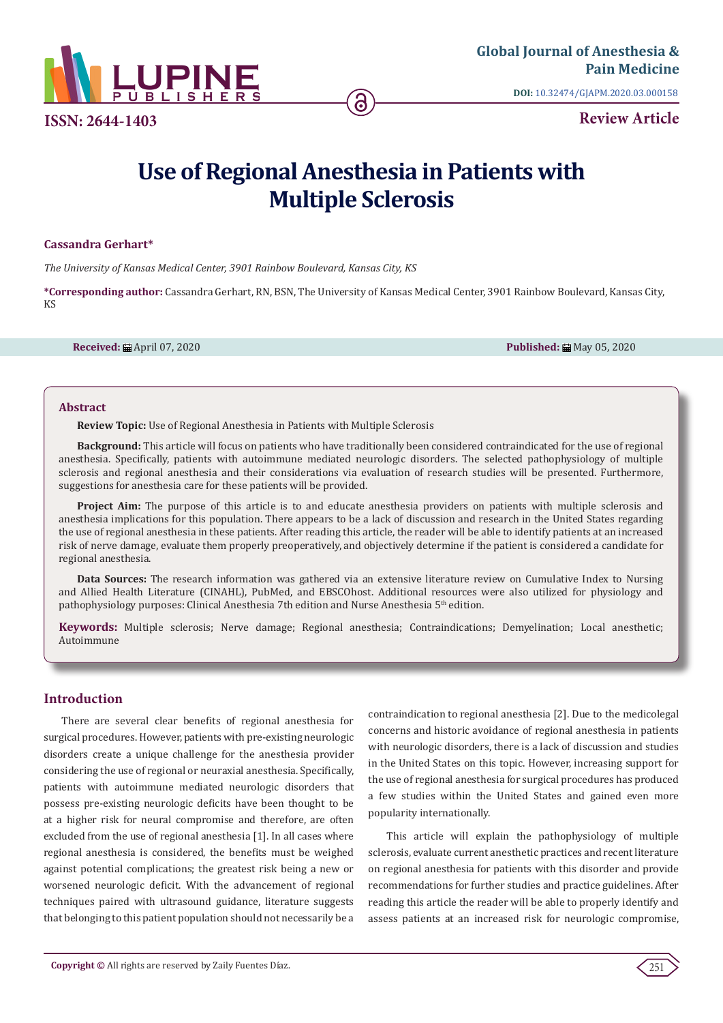

**ISSN: 2644-1403**

**DOI:** [10.32474/GJAPM.2020.03.000158](http://dx.doi.org/10.32474/GJAPM.2020.03.000158)

**Review Article**

# **Use of Regional Anesthesia in Patients with Multiple Sclerosis**

#### **Cassandra Gerhart\***

*The University of Kansas Medical Center, 3901 Rainbow Boulevard, Kansas City, KS*

**\*Corresponding author:** Cassandra Gerhart, RN, BSN, The University of Kansas Medical Center, 3901 Rainbow Boulevard, Kansas City, KS

**Received:** 曲 April 07, 2020 **Published: 曲 May 05, 2020 Published: 曲 May 05, 2020** 

#### **Abstract**

**Review Topic:** Use of Regional Anesthesia in Patients with Multiple Sclerosis

**Background:** This article will focus on patients who have traditionally been considered contraindicated for the use of regional anesthesia. Specifically, patients with autoimmune mediated neurologic disorders. The selected pathophysiology of multiple sclerosis and regional anesthesia and their considerations via evaluation of research studies will be presented. Furthermore, suggestions for anesthesia care for these patients will be provided.

**Project Aim:** The purpose of this article is to and educate anesthesia providers on patients with multiple sclerosis and anesthesia implications for this population. There appears to be a lack of discussion and research in the United States regarding the use of regional anesthesia in these patients. After reading this article, the reader will be able to identify patients at an increased risk of nerve damage, evaluate them properly preoperatively, and objectively determine if the patient is considered a candidate for regional anesthesia.

**Data Sources:** The research information was gathered via an extensive literature review on Cumulative Index to Nursing and Allied Health Literature (CINAHL), PubMed, and EBSCOhost. Additional resources were also utilized for physiology and pathophysiology purposes: Clinical Anesthesia 7th edition and Nurse Anesthesia 5th edition.

**Keywords:** Multiple sclerosis; Nerve damage; Regional anesthesia; Contraindications; Demyelination; Local anesthetic; Autoimmune

## **Introduction**

There are several clear benefits of regional anesthesia for surgical procedures. However, patients with pre-existing neurologic disorders create a unique challenge for the anesthesia provider considering the use of regional or neuraxial anesthesia. Specifically, patients with autoimmune mediated neurologic disorders that possess pre-existing neurologic deficits have been thought to be at a higher risk for neural compromise and therefore, are often excluded from the use of regional anesthesia [1]. In all cases where regional anesthesia is considered, the benefits must be weighed against potential complications; the greatest risk being a new or worsened neurologic deficit. With the advancement of regional techniques paired with ultrasound guidance, literature suggests that belonging to this patient population should not necessarily be a

contraindication to regional anesthesia [2]. Due to the medicolegal concerns and historic avoidance of regional anesthesia in patients with neurologic disorders, there is a lack of discussion and studies in the United States on this topic. However, increasing support for the use of regional anesthesia for surgical procedures has produced a few studies within the United States and gained even more popularity internationally.

This article will explain the pathophysiology of multiple sclerosis, evaluate current anesthetic practices and recent literature on regional anesthesia for patients with this disorder and provide recommendations for further studies and practice guidelines. After reading this article the reader will be able to properly identify and assess patients at an increased risk for neurologic compromise,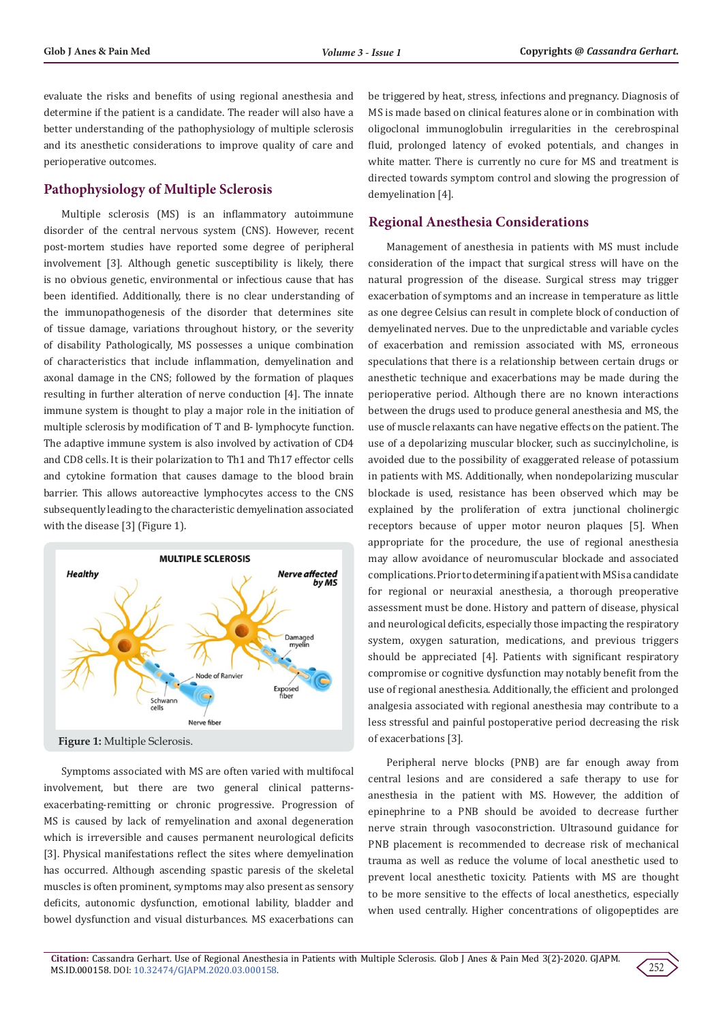evaluate the risks and benefits of using regional anesthesia and determine if the patient is a candidate. The reader will also have a better understanding of the pathophysiology of multiple sclerosis and its anesthetic considerations to improve quality of care and perioperative outcomes.

#### **Pathophysiology of Multiple Sclerosis**

Multiple sclerosis (MS) is an inflammatory autoimmune disorder of the central nervous system (CNS). However, recent post-mortem studies have reported some degree of peripheral involvement [3]. Although genetic susceptibility is likely, there is no obvious genetic, environmental or infectious cause that has been identified. Additionally, there is no clear understanding of the immunopathogenesis of the disorder that determines site of tissue damage, variations throughout history, or the severity of disability Pathologically, MS possesses a unique combination of characteristics that include inflammation, demyelination and axonal damage in the CNS; followed by the formation of plaques resulting in further alteration of nerve conduction [4]. The innate immune system is thought to play a major role in the initiation of multiple sclerosis by modification of T and B- lymphocyte function. The adaptive immune system is also involved by activation of CD4 and CD8 cells. It is their polarization to Th1 and Th17 effector cells and cytokine formation that causes damage to the blood brain barrier. This allows autoreactive lymphocytes access to the CNS subsequently leading to the characteristic demyelination associated with the disease [3] (Figure 1).



Symptoms associated with MS are often varied with multifocal involvement, but there are two general clinical patternsexacerbating-remitting or chronic progressive. Progression of MS is caused by lack of remyelination and axonal degeneration which is irreversible and causes permanent neurological deficits [3]. Physical manifestations reflect the sites where demyelination has occurred. Although ascending spastic paresis of the skeletal muscles is often prominent, symptoms may also present as sensory deficits, autonomic dysfunction, emotional lability, bladder and bowel dysfunction and visual disturbances. MS exacerbations can

be triggered by heat, stress, infections and pregnancy. Diagnosis of MS is made based on clinical features alone or in combination with oligoclonal immunoglobulin irregularities in the cerebrospinal fluid, prolonged latency of evoked potentials, and changes in white matter. There is currently no cure for MS and treatment is directed towards symptom control and slowing the progression of demyelination [4].

#### **Regional Anesthesia Considerations**

Management of anesthesia in patients with MS must include consideration of the impact that surgical stress will have on the natural progression of the disease. Surgical stress may trigger exacerbation of symptoms and an increase in temperature as little as one degree Celsius can result in complete block of conduction of demyelinated nerves. Due to the unpredictable and variable cycles of exacerbation and remission associated with MS, erroneous speculations that there is a relationship between certain drugs or anesthetic technique and exacerbations may be made during the perioperative period. Although there are no known interactions between the drugs used to produce general anesthesia and MS, the use of muscle relaxants can have negative effects on the patient. The use of a depolarizing muscular blocker, such as succinylcholine, is avoided due to the possibility of exaggerated release of potassium in patients with MS. Additionally, when nondepolarizing muscular blockade is used, resistance has been observed which may be explained by the proliferation of extra junctional cholinergic receptors because of upper motor neuron plaques [5]. When appropriate for the procedure, the use of regional anesthesia may allow avoidance of neuromuscular blockade and associated complications. Prior to determining if a patient with MS is a candidate for regional or neuraxial anesthesia, a thorough preoperative assessment must be done. History and pattern of disease, physical and neurological deficits, especially those impacting the respiratory system, oxygen saturation, medications, and previous triggers should be appreciated [4]. Patients with significant respiratory compromise or cognitive dysfunction may notably benefit from the use of regional anesthesia. Additionally, the efficient and prolonged analgesia associated with regional anesthesia may contribute to a less stressful and painful postoperative period decreasing the risk of exacerbations [3].

Peripheral nerve blocks (PNB) are far enough away from central lesions and are considered a safe therapy to use for anesthesia in the patient with MS. However, the addition of epinephrine to a PNB should be avoided to decrease further nerve strain through vasoconstriction. Ultrasound guidance for PNB placement is recommended to decrease risk of mechanical trauma as well as reduce the volume of local anesthetic used to prevent local anesthetic toxicity. Patients with MS are thought to be more sensitive to the effects of local anesthetics, especially when used centrally. Higher concentrations of oligopeptides are

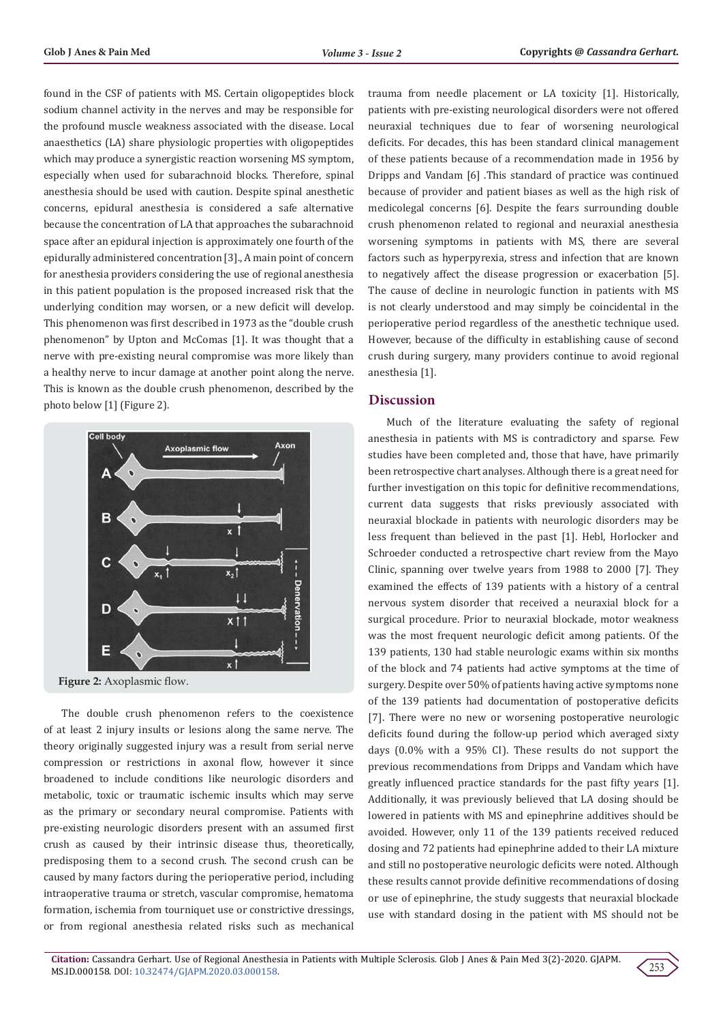found in the CSF of patients with MS. Certain oligopeptides block sodium channel activity in the nerves and may be responsible for the profound muscle weakness associated with the disease. Local anaesthetics (LA) share physiologic properties with oligopeptides which may produce a synergistic reaction worsening MS symptom, especially when used for subarachnoid blocks. Therefore, spinal anesthesia should be used with caution. Despite spinal anesthetic concerns, epidural anesthesia is considered a safe alternative because the concentration of LA that approaches the subarachnoid space after an epidural injection is approximately one fourth of the epidurally administered concentration [3]., A main point of concern for anesthesia providers considering the use of regional anesthesia in this patient population is the proposed increased risk that the underlying condition may worsen, or a new deficit will develop. This phenomenon was first described in 1973 as the "double crush phenomenon" by Upton and McComas [1]. It was thought that a nerve with pre-existing neural compromise was more likely than a healthy nerve to incur damage at another point along the nerve. This is known as the double crush phenomenon, described by the photo below [1] (Figure 2).



**Figure 2:** Axoplasmic flow.

The double crush phenomenon refers to the coexistence of at least 2 injury insults or lesions along the same nerve. The theory originally suggested injury was a result from serial nerve compression or restrictions in axonal flow, however it since broadened to include conditions like neurologic disorders and metabolic, toxic or traumatic ischemic insults which may serve as the primary or secondary neural compromise. Patients with pre-existing neurologic disorders present with an assumed first crush as caused by their intrinsic disease thus, theoretically, predisposing them to a second crush. The second crush can be caused by many factors during the perioperative period, including intraoperative trauma or stretch, vascular compromise, hematoma formation, ischemia from tourniquet use or constrictive dressings, or from regional anesthesia related risks such as mechanical

trauma from needle placement or LA toxicity [1]. Historically, patients with pre-existing neurological disorders were not offered neuraxial techniques due to fear of worsening neurological deficits. For decades, this has been standard clinical management of these patients because of a recommendation made in 1956 by Dripps and Vandam [6] .This standard of practice was continued because of provider and patient biases as well as the high risk of medicolegal concerns [6]. Despite the fears surrounding double crush phenomenon related to regional and neuraxial anesthesia worsening symptoms in patients with MS, there are several factors such as hyperpyrexia, stress and infection that are known to negatively affect the disease progression or exacerbation [5]. The cause of decline in neurologic function in patients with MS is not clearly understood and may simply be coincidental in the perioperative period regardless of the anesthetic technique used. However, because of the difficulty in establishing cause of second crush during surgery, many providers continue to avoid regional anesthesia [1].

#### **Discussion**

Much of the literature evaluating the safety of regional anesthesia in patients with MS is contradictory and sparse. Few studies have been completed and, those that have, have primarily been retrospective chart analyses. Although there is a great need for further investigation on this topic for definitive recommendations, current data suggests that risks previously associated with neuraxial blockade in patients with neurologic disorders may be less frequent than believed in the past [1]. Hebl, Horlocker and Schroeder conducted a retrospective chart review from the Mayo Clinic, spanning over twelve years from 1988 to 2000 [7]. They examined the effects of 139 patients with a history of a central nervous system disorder that received a neuraxial block for a surgical procedure. Prior to neuraxial blockade, motor weakness was the most frequent neurologic deficit among patients. Of the 139 patients, 130 had stable neurologic exams within six months of the block and 74 patients had active symptoms at the time of surgery. Despite over 50% of patients having active symptoms none of the 139 patients had documentation of postoperative deficits [7]. There were no new or worsening postoperative neurologic deficits found during the follow-up period which averaged sixty days (0.0% with a 95% CI). These results do not support the previous recommendations from Dripps and Vandam which have greatly influenced practice standards for the past fifty years [1]. Additionally, it was previously believed that LA dosing should be lowered in patients with MS and epinephrine additives should be avoided. However, only 11 of the 139 patients received reduced dosing and 72 patients had epinephrine added to their LA mixture and still no postoperative neurologic deficits were noted. Although these results cannot provide definitive recommendations of dosing or use of epinephrine, the study suggests that neuraxial blockade use with standard dosing in the patient with MS should not be

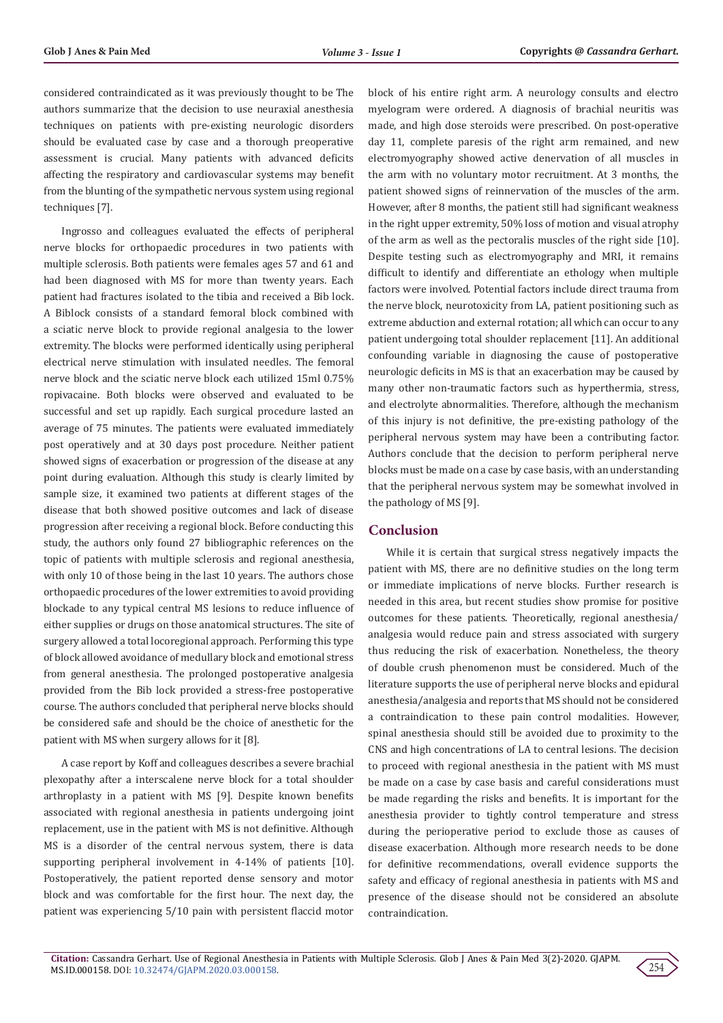considered contraindicated as it was previously thought to be The authors summarize that the decision to use neuraxial anesthesia techniques on patients with pre-existing neurologic disorders should be evaluated case by case and a thorough preoperative assessment is crucial. Many patients with advanced deficits affecting the respiratory and cardiovascular systems may benefit from the blunting of the sympathetic nervous system using regional techniques [7].

Ingrosso and colleagues evaluated the effects of peripheral nerve blocks for orthopaedic procedures in two patients with multiple sclerosis. Both patients were females ages 57 and 61 and had been diagnosed with MS for more than twenty years. Each patient had fractures isolated to the tibia and received a Bib lock. A Biblock consists of a standard femoral block combined with a sciatic nerve block to provide regional analgesia to the lower extremity. The blocks were performed identically using peripheral electrical nerve stimulation with insulated needles. The femoral nerve block and the sciatic nerve block each utilized 15ml 0.75% ropivacaine. Both blocks were observed and evaluated to be successful and set up rapidly. Each surgical procedure lasted an average of 75 minutes. The patients were evaluated immediately post operatively and at 30 days post procedure. Neither patient showed signs of exacerbation or progression of the disease at any point during evaluation. Although this study is clearly limited by sample size, it examined two patients at different stages of the disease that both showed positive outcomes and lack of disease progression after receiving a regional block. Before conducting this study, the authors only found 27 bibliographic references on the topic of patients with multiple sclerosis and regional anesthesia, with only 10 of those being in the last 10 years. The authors chose orthopaedic procedures of the lower extremities to avoid providing blockade to any typical central MS lesions to reduce influence of either supplies or drugs on those anatomical structures. The site of surgery allowed a total locoregional approach. Performing this type of block allowed avoidance of medullary block and emotional stress from general anesthesia. The prolonged postoperative analgesia provided from the Bib lock provided a stress-free postoperative course. The authors concluded that peripheral nerve blocks should be considered safe and should be the choice of anesthetic for the patient with MS when surgery allows for it [8].

A case report by Koff and colleagues describes a severe brachial plexopathy after a interscalene nerve block for a total shoulder arthroplasty in a patient with MS [9]. Despite known benefits associated with regional anesthesia in patients undergoing joint replacement, use in the patient with MS is not definitive. Although MS is a disorder of the central nervous system, there is data supporting peripheral involvement in 4-14% of patients [10]. Postoperatively, the patient reported dense sensory and motor block and was comfortable for the first hour. The next day, the patient was experiencing 5/10 pain with persistent flaccid motor block of his entire right arm. A neurology consults and electro myelogram were ordered. A diagnosis of brachial neuritis was made, and high dose steroids were prescribed. On post-operative day 11, complete paresis of the right arm remained, and new electromyography showed active denervation of all muscles in the arm with no voluntary motor recruitment. At 3 months, the patient showed signs of reinnervation of the muscles of the arm. However, after 8 months, the patient still had significant weakness in the right upper extremity, 50% loss of motion and visual atrophy of the arm as well as the pectoralis muscles of the right side [10]. Despite testing such as electromyography and MRI, it remains difficult to identify and differentiate an ethology when multiple factors were involved. Potential factors include direct trauma from the nerve block, neurotoxicity from LA, patient positioning such as extreme abduction and external rotation; all which can occur to any patient undergoing total shoulder replacement [11]. An additional confounding variable in diagnosing the cause of postoperative neurologic deficits in MS is that an exacerbation may be caused by many other non-traumatic factors such as hyperthermia, stress, and electrolyte abnormalities. Therefore, although the mechanism of this injury is not definitive, the pre-existing pathology of the peripheral nervous system may have been a contributing factor. Authors conclude that the decision to perform peripheral nerve blocks must be made on a case by case basis, with an understanding that the peripheral nervous system may be somewhat involved in the pathology of MS [9].

#### **Conclusion**

While it is certain that surgical stress negatively impacts the patient with MS, there are no definitive studies on the long term or immediate implications of nerve blocks. Further research is needed in this area, but recent studies show promise for positive outcomes for these patients. Theoretically, regional anesthesia/ analgesia would reduce pain and stress associated with surgery thus reducing the risk of exacerbation. Nonetheless, the theory of double crush phenomenon must be considered. Much of the literature supports the use of peripheral nerve blocks and epidural anesthesia/analgesia and reports that MS should not be considered a contraindication to these pain control modalities. However, spinal anesthesia should still be avoided due to proximity to the CNS and high concentrations of LA to central lesions. The decision to proceed with regional anesthesia in the patient with MS must be made on a case by case basis and careful considerations must be made regarding the risks and benefits. It is important for the anesthesia provider to tightly control temperature and stress during the perioperative period to exclude those as causes of disease exacerbation. Although more research needs to be done for definitive recommendations, overall evidence supports the safety and efficacy of regional anesthesia in patients with MS and presence of the disease should not be considered an absolute contraindication.